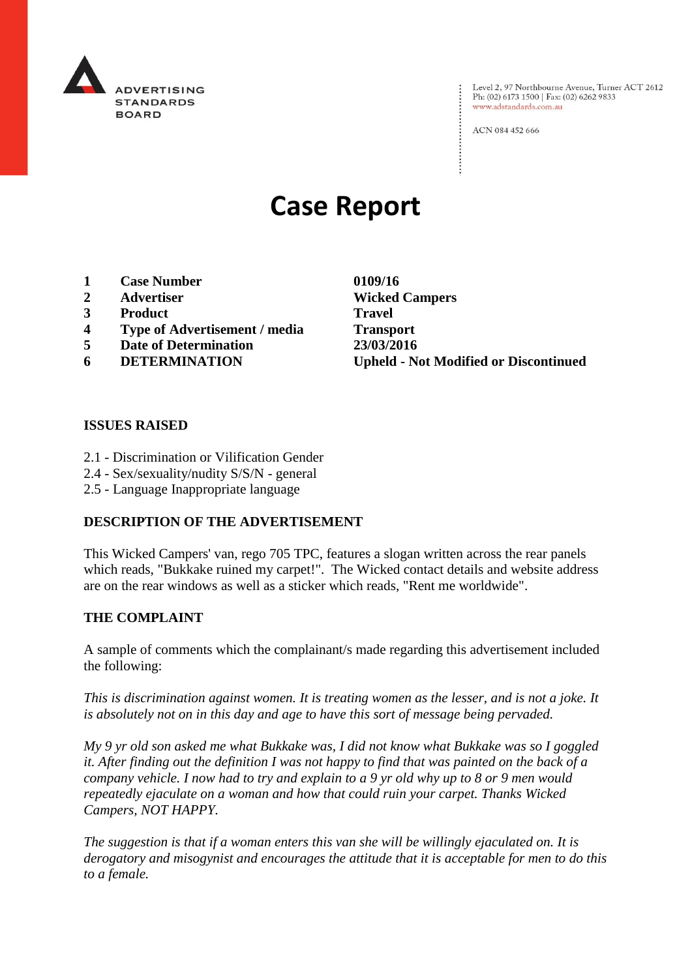

Level 2, 97 Northbourne Avenue, Turner ACT 2612 Ph: (02) 6173 1500 | Fax: (02) 6262 9833 www.adstandards.com.au

ACN 084 452 666

# **Case Report**

- **1 Case Number 0109/16**
- 
- **3 Product Travel**
- **4 Type of Advertisement / media Transport**
- **5 Date of Determination 23/03/2016**
- 

**2 Advertiser Wicked Campers 6 DETERMINATION Upheld - Not Modified or Discontinued**

 $\vdots$ 

### **ISSUES RAISED**

- 2.1 Discrimination or Vilification Gender
- 2.4 Sex/sexuality/nudity S/S/N general
- 2.5 Language Inappropriate language

## **DESCRIPTION OF THE ADVERTISEMENT**

This Wicked Campers' van, rego 705 TPC, features a slogan written across the rear panels which reads, "Bukkake ruined my carpet!". The Wicked contact details and website address are on the rear windows as well as a sticker which reads, "Rent me worldwide".

#### **THE COMPLAINT**

A sample of comments which the complainant/s made regarding this advertisement included the following:

*This is discrimination against women. It is treating women as the lesser, and is not a joke. It is absolutely not on in this day and age to have this sort of message being pervaded.* 

*My 9 yr old son asked me what Bukkake was, I did not know what Bukkake was so I goggled it. After finding out the definition I was not happy to find that was painted on the back of a company vehicle. I now had to try and explain to a 9 yr old why up to 8 or 9 men would repeatedly ejaculate on a woman and how that could ruin your carpet. Thanks Wicked Campers, NOT HAPPY.* 

*The suggestion is that if a woman enters this van she will be willingly ejaculated on. It is derogatory and misogynist and encourages the attitude that it is acceptable for men to do this to a female.*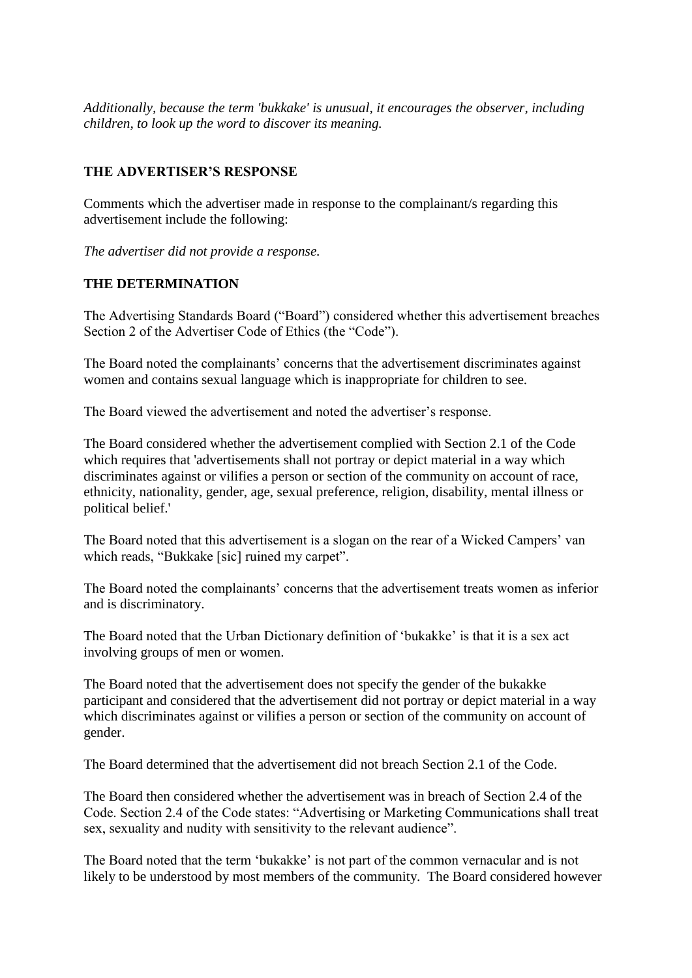*Additionally, because the term 'bukkake' is unusual, it encourages the observer, including children, to look up the word to discover its meaning.*

# **THE ADVERTISER'S RESPONSE**

Comments which the advertiser made in response to the complainant/s regarding this advertisement include the following:

*The advertiser did not provide a response.*

# **THE DETERMINATION**

The Advertising Standards Board ("Board") considered whether this advertisement breaches Section 2 of the Advertiser Code of Ethics (the "Code").

The Board noted the complainants' concerns that the advertisement discriminates against women and contains sexual language which is inappropriate for children to see.

The Board viewed the advertisement and noted the advertiser's response.

The Board considered whether the advertisement complied with Section 2.1 of the Code which requires that 'advertisements shall not portray or depict material in a way which discriminates against or vilifies a person or section of the community on account of race, ethnicity, nationality, gender, age, sexual preference, religion, disability, mental illness or political belief.'

The Board noted that this advertisement is a slogan on the rear of a Wicked Campers' van which reads, "Bukkake [sic] ruined my carpet".

The Board noted the complainants' concerns that the advertisement treats women as inferior and is discriminatory.

The Board noted that the Urban Dictionary definition of 'bukakke' is that it is a sex act involving groups of men or women.

The Board noted that the advertisement does not specify the gender of the bukakke participant and considered that the advertisement did not portray or depict material in a way which discriminates against or vilifies a person or section of the community on account of gender.

The Board determined that the advertisement did not breach Section 2.1 of the Code.

The Board then considered whether the advertisement was in breach of Section 2.4 of the Code. Section 2.4 of the Code states: "Advertising or Marketing Communications shall treat sex, sexuality and nudity with sensitivity to the relevant audience".

The Board noted that the term 'bukakke' is not part of the common vernacular and is not likely to be understood by most members of the community. The Board considered however